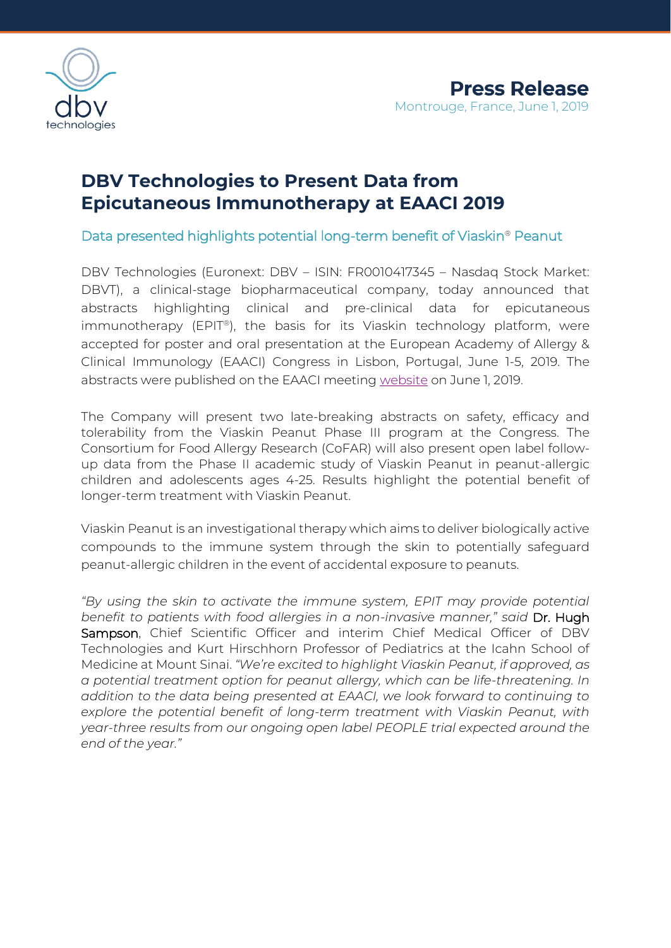

# **DBV Technologies to Present Data from Epicutaneous Immunotherapy at EAACI 2019**

Data presented highlights potential long-term benefit of Viaskin® Peanut

DBV Technologies (Euronext: DBV – ISIN: FR0010417345 – Nasdaq Stock Market: DBVT), a clinical-stage biopharmaceutical company, today announced that abstracts highlighting clinical and pre-clinical data for epicutaneous immunotherapy (EPIT®), the basis for its Viaskin technology platform, were accepted for poster and oral presentation at the European Academy of Allergy & Clinical Immunology (EAACI) Congress in Lisbon, Portugal, June 1-5, 2019. The abstracts were published on the EAACI meeting [website](https://www.eaaci.org/eaaci-congresses/eaaci-2019/scientific-programme) on June 1, 2019.

The Company will present two late-breaking abstracts on safety, efficacy and tolerability from the Viaskin Peanut Phase III program at the Congress. The Consortium for Food Allergy Research (CoFAR) will also present open label followup data from the Phase II academic study of Viaskin Peanut in peanut-allergic children and adolescents ages 4-25. Results highlight the potential benefit of longer-term treatment with Viaskin Peanut.

Viaskin Peanut is an investigational therapy which aims to deliver biologically active compounds to the immune system through the skin to potentially safeguard peanut-allergic children in the event of accidental exposure to peanuts.

*"By using the skin to activate the immune system, EPIT may provide potential benefit to patients with food allergies in a non-invasive manner," said* Dr. Hugh Sampson, Chief Scientific Officer and interim Chief Medical Officer of DBV Technologies and Kurt Hirschhorn Professor of Pediatrics at the Icahn School of Medicine at Mount Sinai. *"We're excited to highlight Viaskin Peanut, if approved, as a potential treatment option for peanut allergy, which can be life-threatening. In addition to the data being presented at EAACI, we look forward to continuing to explore the potential benefit of long-term treatment with Viaskin Peanut, with year-three results from our ongoing open label PEOPLE trial expected around the end of the year."*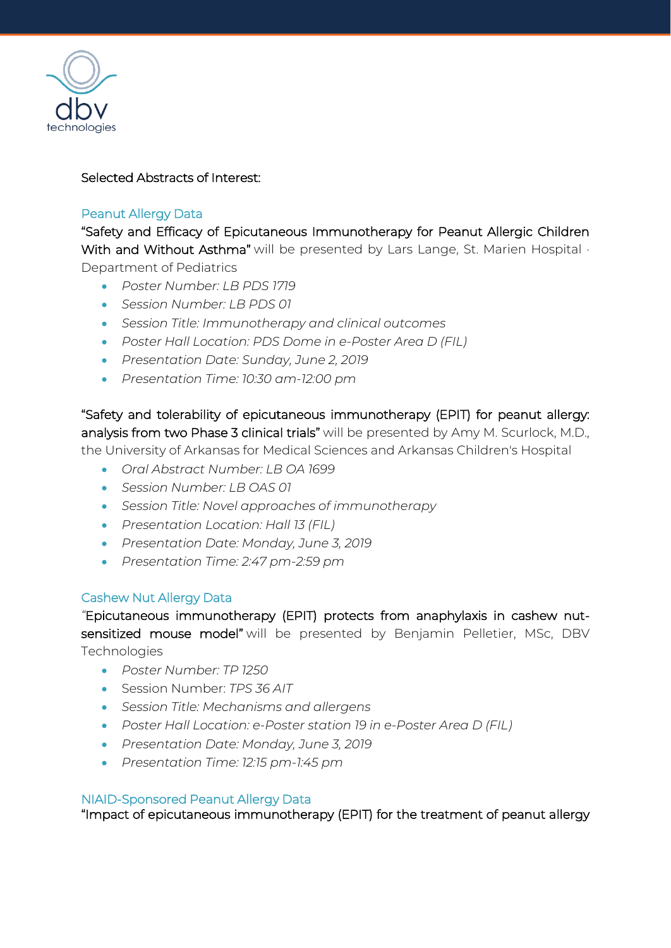

## Selected Abstracts of Interest:

#### Peanut Allergy Data

"Safety and Efficacy of Epicutaneous Immunotherapy for Peanut Allergic Children With and Without Asthma" will be presented by Lars Lange, St. Marien Hospital · Department of Pediatrics

- *Poster Number: LB PDS 1719*
- *Session Number: LB PDS 01*
- *Session Title: Immunotherapy and clinical outcomes*
- *Poster Hall Location: PDS Dome in e-Poster Area D (FIL)*
- *Presentation Date: Sunday, June 2, 2019*
- *Presentation Time: 10:30 am-12:00 pm*

"Safety and tolerability of epicutaneous immunotherapy (EPIT) for peanut allergy: analysis from two Phase 3 clinical trials" will be presented by Amy M. Scurlock, M.D., the University of Arkansas for Medical Sciences and Arkansas Children's Hospital

- *Oral Abstract Number: LB OA 1699*
- *Session Number: LB OAS 01*
- *Session Title: Novel approaches of immunotherapy*
- *Presentation Location: Hall 13 (FIL)*
- *Presentation Date: Monday, June 3, 2019*
- *Presentation Time: 2:47 pm-2:59 pm*

## Cashew Nut Allergy Data

*"*Epicutaneous immunotherapy (EPIT) protects from anaphylaxis in cashew nutsensitized mouse model" will be presented by Benjamin Pelletier, MSc, DBV **Technologies** 

- *Poster Number: TP 1250*
- Session Number: *TPS 36 AIT*
- *Session Title: Mechanisms and allergens*
- *Poster Hall Location: e-Poster station 19 in e-Poster Area D (FIL)*
- *Presentation Date: Monday, June 3, 2019*
- *Presentation Time: 12:15 pm-1:45 pm*

## NIAID-Sponsored Peanut Allergy Data

"Impact of epicutaneous immunotherapy (EPIT) for the treatment of peanut allergy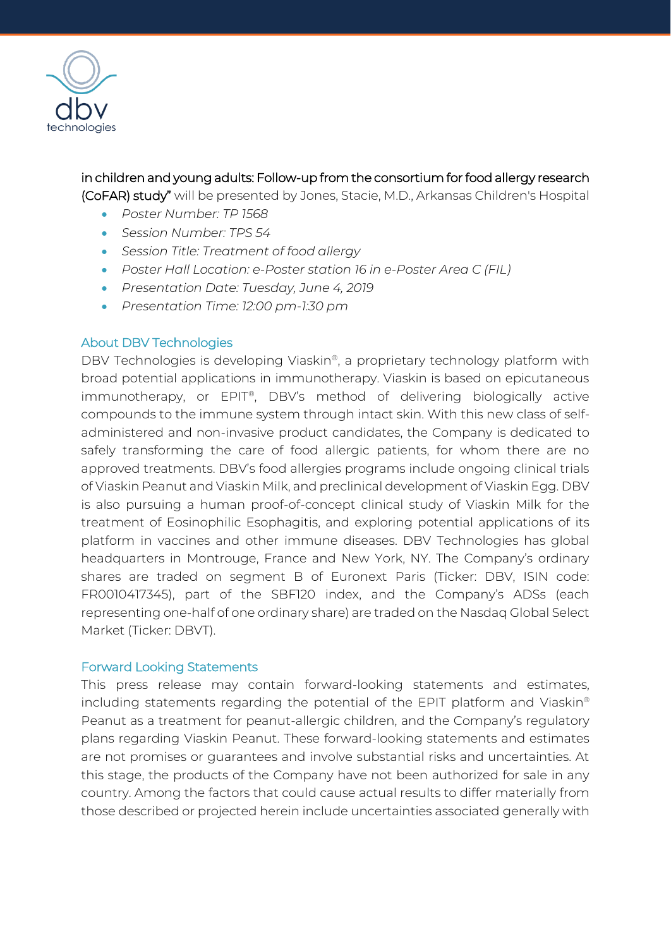

in children and young adults: Follow-up from the consortium for food allergy research (CoFAR) study" will be presented by Jones, Stacie, M.D., Arkansas Children's Hospital

- *Poster Number: TP 1568*
- *Session Number: TPS 54*
- *Session Title: Treatment of food allergy*
- *Poster Hall Location: e-Poster station 16 in e-Poster Area C (FIL)*
- *Presentation Date: Tuesday, June 4, 2019*
- *Presentation Time: 12:00 pm-1:30 pm*

#### About DBV Technologies

DBV Technologies is developing Viaskin®, a proprietary technology platform with broad potential applications in immunotherapy. Viaskin is based on epicutaneous immunotherapy, or EPIT®, DBV's method of delivering biologically active compounds to the immune system through intact skin. With this new class of selfadministered and non-invasive product candidates, the Company is dedicated to safely transforming the care of food allergic patients, for whom there are no approved treatments. DBV's food allergies programs include ongoing clinical trials of Viaskin Peanut and Viaskin Milk, and preclinical development of Viaskin Egg. DBV is also pursuing a human proof-of-concept clinical study of Viaskin Milk for the treatment of Eosinophilic Esophagitis, and exploring potential applications of its platform in vaccines and other immune diseases. DBV Technologies has global headquarters in Montrouge, France and New York, NY. The Company's ordinary shares are traded on segment B of Euronext Paris (Ticker: DBV, ISIN code: FR0010417345), part of the SBF120 index, and the Company's ADSs (each representing one-half of one ordinary share) are traded on the Nasdaq Global Select Market (Ticker: DBVT).

#### Forward Looking Statements

This press release may contain forward-looking statements and estimates, including statements regarding the potential of the EPIT platform and Viaskin® Peanut as a treatment for peanut-allergic children, and the Company's regulatory plans regarding Viaskin Peanut. These forward-looking statements and estimates are not promises or guarantees and involve substantial risks and uncertainties. At this stage, the products of the Company have not been authorized for sale in any country. Among the factors that could cause actual results to differ materially from those described or projected herein include uncertainties associated generally with